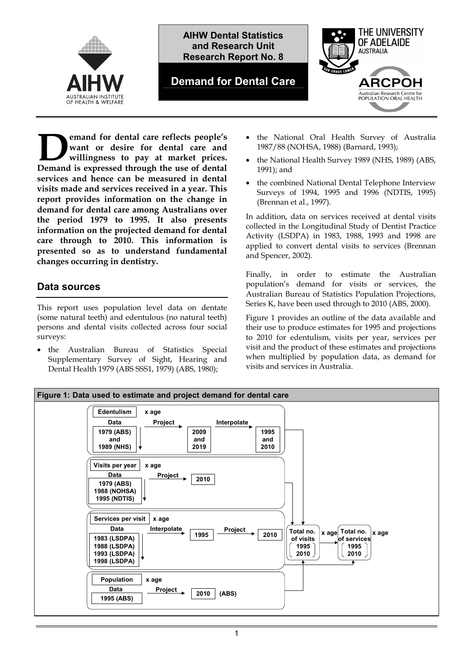



### **Demand for Dental Care**



**emand for dental care reflects people's want or desire for dental care and willingness to pay at market prices. Demand for dental care reflects people's**<br>
want or desire for dental care and<br>
willingness to pay at market prices.<br>
Demand is expressed through the use of dental **services and hence can be measured in dental visits made and services received in a year. This report provides information on the change in demand for dental care among Australians over the period 1979 to 1995. It also presents information on the projected demand for dental care through to 2010. This information is presented so as to understand fundamental changes occurring in dentistry.** 

## **Data sources**

This report uses population level data on dentate (some natural teeth) and edentulous (no natural teeth) persons and dental visits collected across four social surveys:

 the Australian Bureau of Statistics Special Supplementary Survey of Sight, Hearing and Dental Health 1979 (ABS SSS1, 1979) (ABS, 1980);

- the National Oral Health Survey of Australia 1987/88 (NOHSA, 1988) (Barnard, 1993);
- the National Health Survey 1989 (NHS, 1989) (ABS, 1991); and
- the combined National Dental Telephone Interview Surveys of 1994, 1995 and 1996 (NDTIS, 1995) (Brennan et al., 1997).

In addition, data on services received at dental visits collected in the Longitudinal Study of Dentist Practice Activity (LSDPA) in 1983, 1988, 1993 and 1998 are applied to convert dental visits to services (Brennan and Spencer, 2002).

Finally, in order to estimate the Australian population's demand for visits or services, the Australian Bureau of Statistics Population Projections, Series K, have been used through to 2010 (ABS, 2000).

Figure 1 provides an outline of the data available and their use to produce estimates for 1995 and projections to 2010 for edentulism, visits per year, services per visit and the product of these estimates and projections when multiplied by population data, as demand for visits and services in Australia.

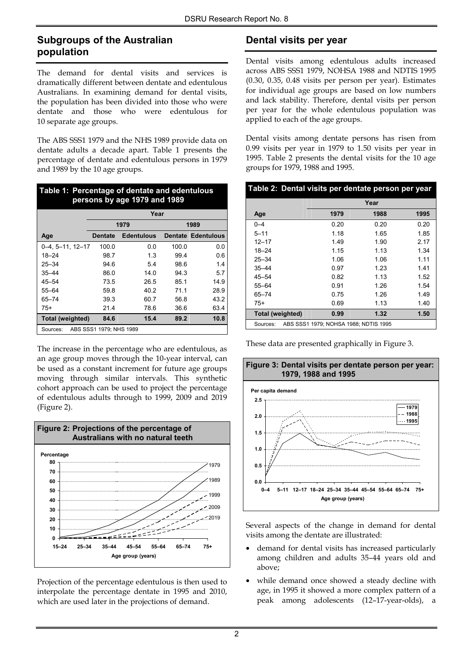### **Subgroups of the Australian population**

The demand for dental visits and services is dramatically different between dentate and edentulous Australians. In examining demand for dental visits, the population has been divided into those who were dentate and those who were edentulous for 10 separate age groups.

The ABS SSS1 1979 and the NHS 1989 provide data on dentate adults a decade apart. Table 1 presents the percentage of dentate and edentulous persons in 1979 and 1989 by the 10 age groups.

| Table 1: Percentage of dentate and edentulous<br>persons by age 1979 and 1989 |                         |                   |       |                           |  |  |
|-------------------------------------------------------------------------------|-------------------------|-------------------|-------|---------------------------|--|--|
|                                                                               |                         | Year              |       |                           |  |  |
|                                                                               |                         | 1979              |       | 1989                      |  |  |
| Age                                                                           | <b>Dentate</b>          | <b>Edentulous</b> |       | <b>Dentate Edentulous</b> |  |  |
| $0-4, 5-11, 12-17$                                                            | 100.0                   | 0.0               | 100.0 | 0.0                       |  |  |
| $18 - 24$                                                                     | 98.7                    | 1.3               | 99.4  | 0.6                       |  |  |
| $25 - 34$                                                                     | 94.6                    | 5.4               | 98.6  | 1.4                       |  |  |
| $35 - 44$                                                                     | 86.0                    | 14.0              | 94.3  | 5.7                       |  |  |
| $45 - 54$                                                                     | 73.5                    | 26.5              | 85.1  | 14.9                      |  |  |
| $55 - 64$                                                                     | 59.8                    | 40.2              | 71.1  | 28.9                      |  |  |
| $65 - 74$                                                                     | 39.3                    | 60.7              | 56.8  | 43.2                      |  |  |
| 75+                                                                           | 21.4                    | 78.6              | 36.6  | 63.4                      |  |  |
| Total (weighted)                                                              | 84.6                    | 15.4              | 89.2  | 10.8                      |  |  |
| Sources:                                                                      | ABS SSS1 1979; NHS 1989 |                   |       |                           |  |  |

The increase in the percentage who are edentulous, as an age group moves through the 10-year interval, can be used as a constant increment for future age groups moving through similar intervals. This synthetic cohort approach can be used to project the percentage of edentulous adults through to 1999, 2009 and 2019 (Figure 2).



Projection of the percentage edentulous is then used to interpolate the percentage dentate in 1995 and 2010, which are used later in the projections of demand.

# **Dental visits per year**

Dental visits among edentulous adults increased across ABS SSS1 1979, NOHSA 1988 and NDTIS 1995 (0.30, 0.35, 0.48 visits per person per year). Estimates for individual age groups are based on low numbers and lack stability. Therefore, dental visits per person per year for the whole edentulous population was applied to each of the age groups.

Dental visits among dentate persons has risen from 0.99 visits per year in 1979 to 1.50 visits per year in 1995. Table 2 presents the dental visits for the 10 age groups for 1979, 1988 and 1995.

| Table 2: Dental visits per dentate person per year |      |      |      |  |  |
|----------------------------------------------------|------|------|------|--|--|
|                                                    |      | Year |      |  |  |
| Age                                                | 1979 | 1988 | 1995 |  |  |
| $0 - 4$                                            | 0.20 | 0.20 | 0.20 |  |  |
| $5 - 11$                                           | 1.18 | 1.65 | 1.85 |  |  |
| $12 - 17$                                          | 1.49 | 1.90 | 2.17 |  |  |
| $18 - 24$                                          | 1.15 | 1.13 | 1.34 |  |  |
| $25 - 34$                                          | 1.06 | 1.06 | 1.11 |  |  |
| $35 - 44$                                          | 0.97 | 1.23 | 1.41 |  |  |
| $45 - 54$                                          | 0.82 | 1.13 | 1.52 |  |  |
| 55-64                                              | 0.91 | 1.26 | 1.54 |  |  |
| 65–74                                              | 0.75 | 1.26 | 1.49 |  |  |
| 75+                                                | 0.69 | 1.13 | 1.40 |  |  |
| 1.32<br>Total (weighted)<br>0.99<br>1.50           |      |      |      |  |  |
| ABS SSS1 1979; NOHSA 1988; NDTIS 1995<br>Sources:  |      |      |      |  |  |

These data are presented graphically in Figure 3.



Several aspects of the change in demand for dental visits among the dentate are illustrated:

- demand for dental visits has increased particularly among children and adults 35–44 years old and above;
- while demand once showed a steady decline with age, in 1995 it showed a more complex pattern of a peak among adolescents (12–17-year-olds), a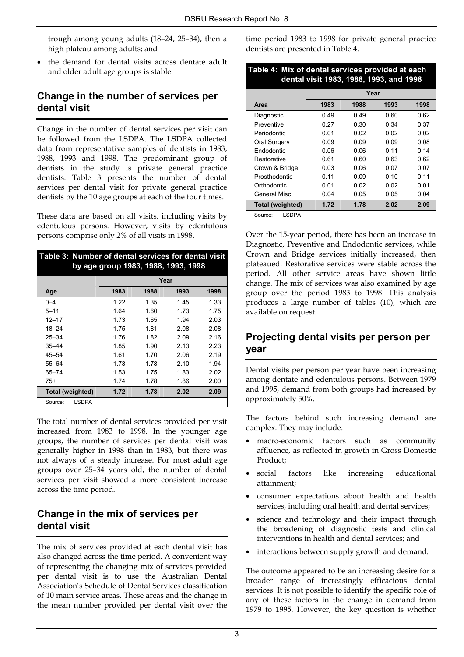trough among young adults (18–24, 25–34), then a high plateau among adults; and

 the demand for dental visits across dentate adult and older adult age groups is stable.

## **Change in the number of services per dental visit**

Change in the number of dental services per visit can be followed from the LSDPA. The LSDPA collected data from representative samples of dentists in 1983, 1988, 1993 and 1998. The predominant group of dentists in the study is private general practice dentists. Table 3 presents the number of dental services per dental visit for private general practice dentists by the 10 age groups at each of the four times.

These data are based on all visits, including visits by edentulous persons. However, visits by edentulous persons comprise only 2% of all visits in 1998.

| Table 3: Number of dental services for dental visit<br>by age group 1983, 1988, 1993, 1998 |      |      |      |      |  |  |  |
|--------------------------------------------------------------------------------------------|------|------|------|------|--|--|--|
|                                                                                            |      | Year |      |      |  |  |  |
| Age                                                                                        | 1983 | 1988 | 1993 | 1998 |  |  |  |
| $0 - 4$                                                                                    | 1.22 | 1.35 | 1.45 | 1.33 |  |  |  |
| $5 - 11$                                                                                   | 1.64 | 1.60 | 1.73 | 1.75 |  |  |  |
| $12 - 17$                                                                                  | 1.73 | 1.65 | 1.94 | 2.03 |  |  |  |
| $18 - 24$                                                                                  | 1.75 | 1.81 | 2.08 | 2.08 |  |  |  |
| $25 - 34$                                                                                  | 1.76 | 1.82 | 2.09 | 2.16 |  |  |  |
| $35 - 44$                                                                                  | 1.85 | 1.90 | 2.13 | 2.23 |  |  |  |
| $45 - 54$                                                                                  | 1.61 | 1.70 | 2.06 | 2.19 |  |  |  |
| $55 - 64$                                                                                  | 1.73 | 1.78 | 2.10 | 1.94 |  |  |  |
| $65 - 74$                                                                                  | 1.53 | 1.75 | 1.83 | 2.02 |  |  |  |
| $75+$                                                                                      | 1.74 | 1.78 | 1.86 | 2.00 |  |  |  |
| Total (weighted)<br>1.72<br>1.78<br>2.02<br>2.09                                           |      |      |      |      |  |  |  |
| <b>LSDPA</b><br>Source:                                                                    |      |      |      |      |  |  |  |

The total number of dental services provided per visit increased from 1983 to 1998. In the younger age groups, the number of services per dental visit was generally higher in 1998 than in 1983, but there was not always of a steady increase. For most adult age groups over 25–34 years old, the number of dental services per visit showed a more consistent increase across the time period.

### **Change in the mix of services per dental visit**

The mix of services provided at each dental visit has also changed across the time period. A convenient way of representing the changing mix of services provided per dental visit is to use the Australian Dental Association's Schedule of Dental Services classification of 10 main service areas. These areas and the change in the mean number provided per dental visit over the

time period 1983 to 1998 for private general practice dentists are presented in Table 4.

| Table 4: Mix of dental services provided at each<br>dental visit 1983, 1988, 1993, and 1998 |                              |      |      |      |  |  |
|---------------------------------------------------------------------------------------------|------------------------------|------|------|------|--|--|
|                                                                                             |                              | Year |      |      |  |  |
| Area                                                                                        | 1983                         | 1988 | 1993 | 1998 |  |  |
| Diagnostic                                                                                  | 0.49                         | 0.49 | 0.60 | 0.62 |  |  |
| <b>Preventive</b>                                                                           | 0.27                         | 0.30 | 0.34 | 0.37 |  |  |
| Periodontic                                                                                 | 0.01                         | 0.02 | 0.02 | 0.02 |  |  |
| Oral Surgery                                                                                | 0.09                         | 0.09 | 0.09 | 0.08 |  |  |
| <b>Endodontic</b>                                                                           | 0.06<br>0.06<br>0.11<br>0.14 |      |      |      |  |  |
| Restorative                                                                                 | 0.61                         | 0.60 | 0.63 | 0.62 |  |  |
| Crown & Bridge                                                                              | 0.03                         | 0.06 | 0.07 | 0.07 |  |  |
| Prosthodontic                                                                               | 0.11                         | 0.09 | 0.10 | 0.11 |  |  |
| Orthodontic                                                                                 | 0.01                         | 0.02 | 0.02 | 0.01 |  |  |
| General Misc.                                                                               | 0.04<br>0.05<br>0.05<br>0.04 |      |      |      |  |  |
| Total (weighted)                                                                            | 1.72<br>1.78<br>2.09<br>2.02 |      |      |      |  |  |
| LSDPA<br>Source:                                                                            |                              |      |      |      |  |  |

Over the 15-year period, there has been an increase in Diagnostic, Preventive and Endodontic services, while Crown and Bridge services initially increased, then plateaued. Restorative services were stable across the period. All other service areas have shown little change. The mix of services was also examined by age group over the period 1983 to 1998. This analysis produces a large number of tables (10), which are available on request.

## **Projecting dental visits per person per year**

Dental visits per person per year have been increasing among dentate and edentulous persons. Between 1979 and 1995, demand from both groups had increased by approximately 50%.

The factors behind such increasing demand are complex. They may include:

- macro-economic factors such as community affluence, as reflected in growth in Gross Domestic Product;
- social factors like increasing educational attainment;
- consumer expectations about health and health services, including oral health and dental services;
- science and technology and their impact through the broadening of diagnostic tests and clinical interventions in health and dental services; and
- interactions between supply growth and demand.

The outcome appeared to be an increasing desire for a broader range of increasingly efficacious dental services. It is not possible to identify the specific role of any of these factors in the change in demand from 1979 to 1995. However, the key question is whether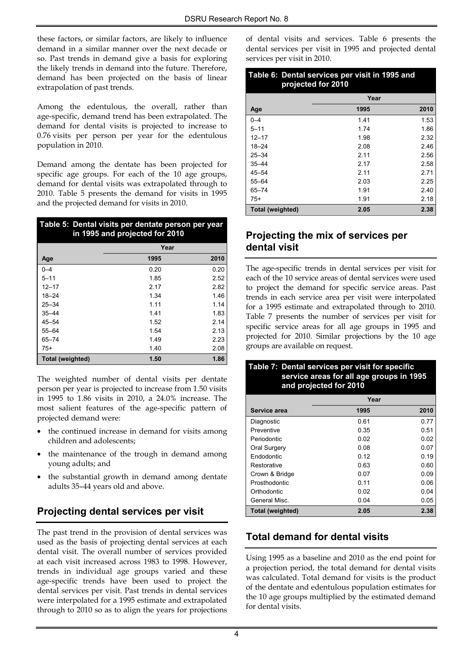these factors, or similar factors, are likely to influence demand in a similar manner over the next decade or so. Past trends in demand give a basis for exploring the likely trends in demand into the future. Therefore, demand has been projected on the basis of linear extrapolation of past trends.

Among the edentulous, the overall, rather than age-specific, demand trend has been extrapolated. The demand for dental visits is projected to increase to 0.76 visits per person per year for the edentulous population in 2010.

Demand among the dentate has been projected for specific age groups. For each of the 10 age groups, demand for dental visits was extrapolated through to 2010. Table 5 presents the demand for visits in 1995 and the projected demand for visits in 2010.

| Table 5: Dental visits per dentate person per year<br>in 1995 and projected for 2010 |      |      |  |  |
|--------------------------------------------------------------------------------------|------|------|--|--|
|                                                                                      | Year |      |  |  |
| Age                                                                                  | 1995 | 2010 |  |  |
| $0 - 4$                                                                              | 0.20 | 0.20 |  |  |
| $5 - 11$                                                                             | 1.85 | 2.52 |  |  |
| $12 - 17$                                                                            | 2.17 | 2.82 |  |  |
| $18 - 24$                                                                            | 1.34 | 1.46 |  |  |
| $25 - 34$                                                                            | 1.11 | 1.14 |  |  |
| $35 - 44$                                                                            | 1.41 | 1.83 |  |  |
| $45 - 54$                                                                            | 1.52 | 2.14 |  |  |
| $55 - 64$                                                                            | 1.54 | 2.13 |  |  |
| $65 - 74$                                                                            | 1.49 | 2.23 |  |  |
| $75+$                                                                                | 1.40 | 2.08 |  |  |
| Total (weighted)                                                                     | 1.50 | 1.86 |  |  |

The weighted number of dental visits per dentate person per year is projected to increase from 1.50 visits in 1995 to 1.86 visits in 2010, a 24.0% increase. The most salient features of the age-specific pattern of projected demand were:

- the continued increase in demand for visits among children and adolescents;
- the maintenance of the trough in demand among young adults; and
- the substantial growth in demand among dentate adults 35–44 years old and above.

## **Projecting dental services per visit**

The past trend in the provision of dental services was used as the basis of projecting dental services at each dental visit. The overall number of services provided at each visit increased across 1983 to 1998. However, trends in individual age groups varied and these age-specific trends have been used to project the dental services per visit. Past trends in dental services were interpolated for a 1995 estimate and extrapolated through to 2010 so as to align the years for projections of dental visits and services. Table 6 presents the dental services per visit in 1995 and projected dental services per visit in 2010.

| Table 6: Dental services per visit in 1995 and<br>projected for 2010 |      |      |  |  |  |
|----------------------------------------------------------------------|------|------|--|--|--|
|                                                                      | Year |      |  |  |  |
| Age                                                                  | 1995 | 2010 |  |  |  |
| $0 - 4$                                                              | 1.41 | 1.53 |  |  |  |
| $5 - 11$                                                             | 1.74 | 1.86 |  |  |  |
| $12 - 17$                                                            | 1.98 | 2.32 |  |  |  |
| $18 - 24$                                                            | 2.08 | 2.46 |  |  |  |
| $25 - 34$                                                            | 2.11 | 2.56 |  |  |  |
| $35 - 44$                                                            | 2.17 | 2.58 |  |  |  |
| $45 - 54$                                                            | 2.11 | 2.71 |  |  |  |
| $55 - 64$                                                            | 2.03 | 2.25 |  |  |  |
| $65 - 74$                                                            | 1.91 | 2.40 |  |  |  |
| $75+$                                                                | 1.91 | 2.18 |  |  |  |
| Total (weighted)                                                     | 2.05 | 2.38 |  |  |  |

### **Projecting the mix of services per dental visit**

The age-specific trends in dental services per visit for each of the 10 service areas of dental services were used to project the demand for specific service areas. Past trends in each service area per visit were interpolated for a 1995 estimate and extrapolated through to 2010. Table 7 presents the number of services per visit for specific service areas for all age groups in 1995 and projected for 2010. Similar projections by the 10 age groups are available on request.

| Table 7: Dental services per visit for specific<br>service areas for all age groups in 1995<br>and projected for 2010 |      |      |  |  |  |
|-----------------------------------------------------------------------------------------------------------------------|------|------|--|--|--|
|                                                                                                                       | Year |      |  |  |  |
| Service area                                                                                                          | 1995 | 2010 |  |  |  |
| Diagnostic                                                                                                            | 0.61 | 0.77 |  |  |  |
| Preventive                                                                                                            | 0.35 | 0.51 |  |  |  |
| Periodontic                                                                                                           | 0.02 | 0.02 |  |  |  |
| Oral Surgery                                                                                                          | 0.08 | 0.07 |  |  |  |
| Endodontic                                                                                                            | 0.12 | 0.19 |  |  |  |
| Restorative                                                                                                           | 0.63 | 0.60 |  |  |  |
| Crown & Bridge                                                                                                        | 0.07 | 0.09 |  |  |  |
| Prosthodontic                                                                                                         | 0.11 | 0.06 |  |  |  |
| Orthodontic                                                                                                           | 0.02 | 0.04 |  |  |  |
| General Misc.                                                                                                         | 0.04 | 0.05 |  |  |  |
| Total (weighted)                                                                                                      | 2.05 | 2.38 |  |  |  |

## **Total demand for dental visits**

Using 1995 as a baseline and 2010 as the end point for a projection period, the total demand for dental visits was calculated. Total demand for visits is the product of the dentate and edentulous population estimates for the 10 age groups multiplied by the estimated demand for dental visits.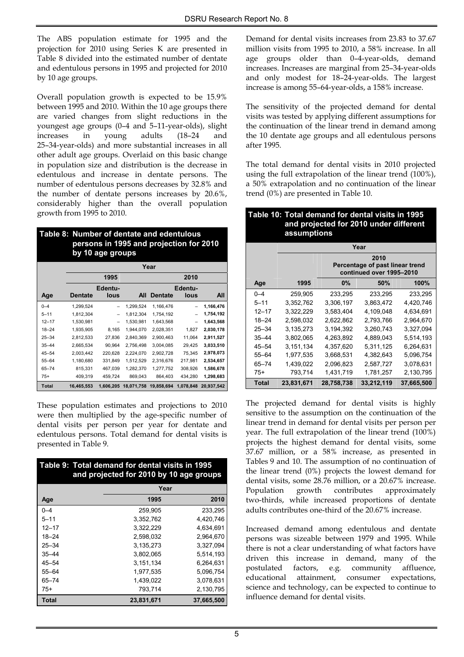The ABS population estimate for 1995 and the projection for 2010 using Series K are presented in Table 8 divided into the estimated number of dentate and edentulous persons in 1995 and projected for 2010 by 10 age groups.

Overall population growth is expected to be 15.9% between 1995 and 2010. Within the 10 age groups there are varied changes from slight reductions in the youngest age groups (0–4 and 5–11-year-olds), slight increases in young adults (18–24 and 25–34-year-olds) and more substantial increases in all other adult age groups. Overlaid on this basic change in population size and distribution is the decrease in edentulous and increase in dentate persons. The number of edentulous persons decreases by 32.8% and the number of dentate persons increases by 20.6%, considerably higher than the overall population growth from 1995 to 2010.

| by 10 age groups |  | Table 8: Number of dentate and edentulous<br>persons in 1995 and projection for 2010 |
|------------------|--|--------------------------------------------------------------------------------------|
|------------------|--|--------------------------------------------------------------------------------------|

|              | Year       |                          |            |                |                 |            |
|--------------|------------|--------------------------|------------|----------------|-----------------|------------|
|              |            | 1995                     |            |                | 2010            |            |
| Age          | Dentate    | Edentu-<br>lous          | All        | <b>Dentate</b> | Edentu-<br>lous | All        |
|              |            |                          |            |                |                 |            |
| $0 - 4$      | 1,299,524  |                          | 1,299,524  | 1,166,476      |                 | 1,166,476  |
| $5 - 11$     | 1,812,304  | -                        | 1,812,304  | 1,754,192      | -               | 1,754,192  |
| $12 - 17$    | 1,530,981  | $\overline{\phantom{0}}$ | 1,530,981  | 1,643,568      |                 | 1,643,568  |
| $18 - 24$    | 1,935,905  | 8,165                    | 1,944,070  | 2,028,351      | 1,827           | 2,030,178  |
| $25 - 34$    | 2.812.533  | 27.836                   | 2.840.369  | 2.900.463      | 11,064          | 2,911,527  |
| $35 - 44$    | 2,665,534  | 90,964                   | 2,756,498  | 3,004,085      | 29,425          | 3,033,510  |
| $45 - 54$    | 2,003,442  | 220,628                  | 2,224,070  | 2,902,728      | 75,345          | 2,978,073  |
| $55 - 64$    | 1,180,680  | 331,849                  | 1,512,529  | 2,316,676      | 217,981         | 2,534,657  |
| $65 - 74$    | 815,331    | 467,039                  | 1,282,370  | 1,277,752      | 308,926         | 1,586,678  |
| $75+$        | 409,319    | 459,724                  | 869,043    | 864,403        | 434,280         | 1,298,683  |
| <b>Total</b> | 16,465,553 | 1,606,205                | 18,071,758 | 19,858,694     | 1,078,848       | 20,937,542 |

These population estimates and projections to 2010 were then multiplied by the age-specific number of dental visits per person per year for dentate and edentulous persons. Total demand for dental visits is presented in Table 9.

| Table 9: Total demand for dental visits in 1995<br>and projected for 2010 by 10 age groups |            |            |  |  |
|--------------------------------------------------------------------------------------------|------------|------------|--|--|
|                                                                                            | Year       |            |  |  |
| Age                                                                                        | 1995       | 2010       |  |  |
| $0 - 4$                                                                                    | 259,905    | 233,295    |  |  |
| $5 - 11$                                                                                   | 3,352,762  | 4,420,746  |  |  |
| $12 - 17$                                                                                  | 3.322.229  | 4.634.691  |  |  |
| $18 - 24$                                                                                  | 2.598.032  | 2,964,670  |  |  |
| $25 - 34$                                                                                  | 3.135.273  | 3,327,094  |  |  |
| $35 - 44$                                                                                  | 3.802.065  | 5.514.193  |  |  |
| 45–54                                                                                      | 3,151,134  | 6,264,631  |  |  |
| $55 - 64$                                                                                  | 1.977.535  | 5,096,754  |  |  |
| $65 - 74$                                                                                  | 1.439.022  | 3,078,631  |  |  |
| $75+$                                                                                      | 793,714    | 2,130,795  |  |  |
| <b>Total</b>                                                                               | 23,831,671 | 37,665,500 |  |  |

Demand for dental visits increases from 23.83 to 37.67 million visits from 1995 to 2010, a 58% increase. In all age groups older than 0–4-year-olds, demand increases. Increases are marginal from 25–34-year-olds and only modest for 18–24-year-olds. The largest increase is among 55–64-year-olds, a 158% increase.

The sensitivity of the projected demand for dental visits was tested by applying different assumptions for the continuation of the linear trend in demand among the 10 dentate age groups and all edentulous persons after 1995.

The total demand for dental visits in 2010 projected using the full extrapolation of the linear trend (100%), a 50% extrapolation and no continuation of the linear trend (0%) are presented in Table 10.

#### **Table 10: Total demand for dental visits in 1995 and projected for 2010 under different assumptions**

|           | Year       |                                                             |            |            |  |
|-----------|------------|-------------------------------------------------------------|------------|------------|--|
|           |            |                                                             | 2010       |            |  |
|           |            | Percentage of past linear trend<br>continued over 1995-2010 |            |            |  |
| Age       | 1995       | 0%                                                          | 50%        | 100%       |  |
| $0 - 4$   | 259,905    | 233,295                                                     | 233,295    | 233,295    |  |
| $5 - 11$  | 3.352.762  | 3.306.197                                                   | 3.863.472  | 4.420.746  |  |
| $12 - 17$ | 3.322.229  | 3.583.404                                                   | 4,109,048  | 4.634.691  |  |
| $18 - 24$ | 2.598.032  | 2,622,862                                                   | 2,793,766  | 2,964,670  |  |
| $25 - 34$ | 3,135,273  | 3,194,392                                                   | 3,260,743  | 3,327,094  |  |
| 35–44     | 3.802.065  | 4.263.892                                                   | 4.889.043  | 5,514,193  |  |
| $45 - 54$ | 3,151,134  | 4,357,620                                                   | 5,311,125  | 6,264,631  |  |
| 55-64     | 1,977,535  | 3,668,531                                                   | 4,382,643  | 5,096,754  |  |
| $65 - 74$ | 1.439.022  | 2.096.823                                                   | 2,587,727  | 3,078,631  |  |
| 75+       | 793,714    | 1,431,719                                                   | 1,781,257  | 2,130,795  |  |
| Total     | 23,831,671 | 28,758,738                                                  | 33,212,119 | 37,665,500 |  |

The projected demand for dental visits is highly sensitive to the assumption on the continuation of the linear trend in demand for dental visits per person per year. The full extrapolation of the linear trend (100%) projects the highest demand for dental visits, some 37.67 million, or a 58% increase, as presented in Tables 9 and 10. The assumption of no continuation of the linear trend (0%) projects the lowest demand for dental visits, some 28.76 million, or a 20.67% increase. Population growth contributes approximately two-thirds, while increased proportions of dentate adults contributes one-third of the 20.67% increase.

Increased demand among edentulous and dentate persons was sizeable between 1979 and 1995. While there is not a clear understanding of what factors have driven this increase in demand, many of the postulated factors, e.g. community affluence, educational attainment, consumer expectations, science and technology, can be expected to continue to influence demand for dental visits.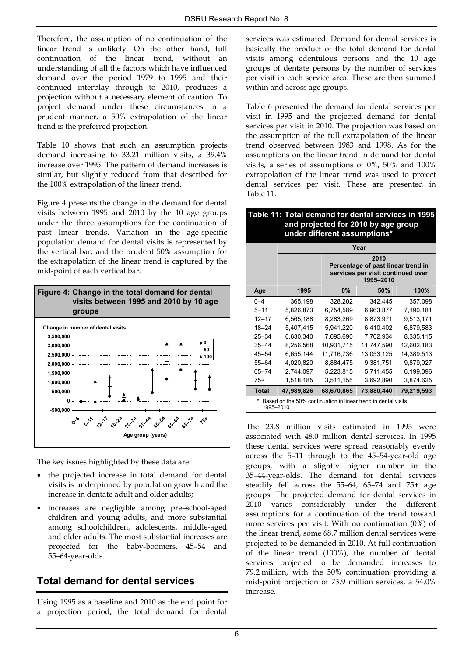Therefore, the assumption of no continuation of the linear trend is unlikely. On the other hand, full continuation of the linear trend, without an understanding of all the factors which have influenced demand over the period 1979 to 1995 and their continued interplay through to 2010, produces a projection without a necessary element of caution. To project demand under these circumstances in a prudent manner, a 50% extrapolation of the linear trend is the preferred projection.

Table 10 shows that such an assumption projects demand increasing to 33.21 million visits, a 39.4% increase over 1995. The pattern of demand increases is similar, but slightly reduced from that described for the 100% extrapolation of the linear trend.

Figure 4 presents the change in the demand for dental visits between 1995 and 2010 by the 10 age groups under the three assumptions for the continuation of past linear trends. Variation in the age-specific population demand for dental visits is represented by the vertical bar, and the prudent 50% assumption for the extrapolation of the linear trend is captured by the mid-point of each vertical bar.



The key issues highlighted by these data are:

- the projected increase in total demand for dental visits is underpinned by population growth and the increase in dentate adult and older adults;
- increases are negligible among pre–school-aged children and young adults, and more substantial among schoolchildren, adolescents, middle-aged and older adults. The most substantial increases are projected for the baby-boomers, 45–54 and 55–64-year-olds.

## **Total demand for dental services**

Using 1995 as a baseline and 2010 as the end point for a projection period, the total demand for dental services was estimated. Demand for dental services is basically the product of the total demand for dental visits among edentulous persons and the 10 age groups of dentate persons by the number of services per visit in each service area. These are then summed within and across age groups.

Table 6 presented the demand for dental services per visit in 1995 and the projected demand for dental services per visit in 2010. The projection was based on the assumption of the full extrapolation of the linear trend observed between 1983 and 1998. As for the assumptions on the linear trend in demand for dental visits, a series of assumptions of 0%, 50% and 100% extrapolation of the linear trend was used to project dental services per visit. These are presented in Table 11.

#### **Table 11: Total demand for dental services in 1995 and projected for 2010 by age group under different assumptions\***

|           | Year                                                                        |                                                                                              |            |            |  |
|-----------|-----------------------------------------------------------------------------|----------------------------------------------------------------------------------------------|------------|------------|--|
|           |                                                                             | 2010<br>Percentage of past linear trend in<br>services per visit continued over<br>1995-2010 |            |            |  |
| Age       | 1995                                                                        | $0\%$                                                                                        | 50%        | 100%       |  |
| $0 - 4$   | 365,198                                                                     | 328,202                                                                                      | 342,445    | 357,098    |  |
| $5 - 11$  | 5,826,873                                                                   | 6,754,589                                                                                    | 6,963,877  | 7,190,181  |  |
| $12 - 17$ | 6,565,188                                                                   | 8,283,269                                                                                    | 8,873,971  | 9,513,171  |  |
| $18 - 24$ | 5,407,415                                                                   | 5,941,220                                                                                    | 6,410,402  | 6,879,583  |  |
| $25 - 34$ | 6,630,340                                                                   | 7,095,690                                                                                    | 7,702,934  | 8,335,115  |  |
| $35 - 44$ | 8,256,568                                                                   | 10,931,715                                                                                   | 11,747,590 | 12,602,183 |  |
| 45–54     | 6,655,144                                                                   | 11,716,736                                                                                   | 13,053,125 | 14,389,513 |  |
| 55-64     | 4,020,820                                                                   | 8,884,475                                                                                    | 9,381,751  | 9,879,027  |  |
| 65–74     | 2,744,097                                                                   | 5,223,815                                                                                    | 5,711,455  | 6,199,096  |  |
| $75+$     | 1,518,185                                                                   | 3,511,155                                                                                    | 3,692,890  | 3,874,625  |  |
| Total     | 47,989,826                                                                  | 68,670,865                                                                                   | 73,880,440 | 79,219,593 |  |
|           | Based on the 50% continuation in linear trend in dental visits<br>1995-2010 |                                                                                              |            |            |  |

The 23.8 million visits estimated in 1995 were associated with 48.0 million dental services. In 1995 these dental services were spread reasonably evenly across the 5–11 through to the 45–54-year-old age groups, with a slightly higher number in the 35–44-year-olds. The demand for dental services steadily fell across the 55–64, 65–74 and 75+ age groups. The projected demand for dental services in 2010 varies considerably under the different assumptions for a continuation of the trend toward more services per visit. With no continuation (0%) of the linear trend, some 68.7 million dental services were projected to be demanded in 2010. At full continuation of the linear trend (100%), the number of dental services projected to be demanded increases to 79.2 million, with the 50% continuation providing a mid-point projection of 73.9 million services, a 54.0% increase.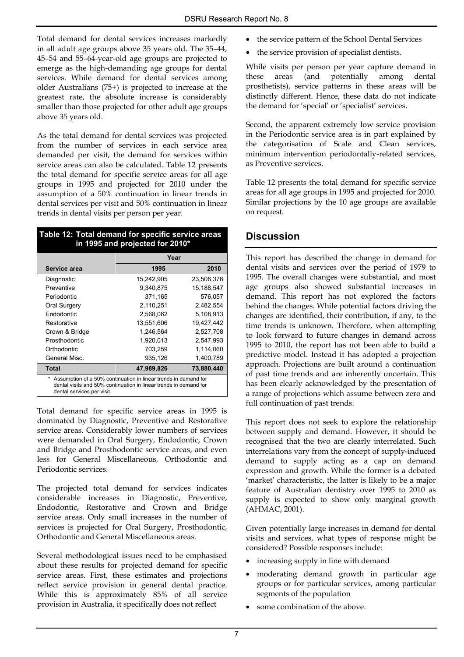Total demand for dental services increases markedly in all adult age groups above 35 years old. The 35–44, 45–54 and 55–64-year-old age groups are projected to emerge as the high-demanding age groups for dental services. While demand for dental services among older Australians (75+) is projected to increase at the greatest rate, the absolute increase is considerably smaller than those projected for other adult age groups above 35 years old.

As the total demand for dental services was projected from the number of services in each service area demanded per visit, the demand for services within service areas can also be calculated. Table 12 presents the total demand for specific service areas for all age groups in 1995 and projected for 2010 under the assumption of a 50% continuation in linear trends in dental services per visit and 50% continuation in linear trends in dental visits per person per year.

### **Table 12: Total demand for specific service areas in 1995 and projected for 2010\***

|                                                                                                                                                                   | Year       |            |
|-------------------------------------------------------------------------------------------------------------------------------------------------------------------|------------|------------|
| Service area                                                                                                                                                      | 1995       | 2010       |
| Diagnostic                                                                                                                                                        | 15,242,905 | 23,506,376 |
| <b>Preventive</b>                                                                                                                                                 | 9,340,875  | 15,188,547 |
| Periodontic                                                                                                                                                       | 371,165    | 576,057    |
| Oral Surgery                                                                                                                                                      | 2,110,251  | 2,482,554  |
| Endodontic                                                                                                                                                        | 2,568,062  | 5,108,913  |
| Restorative                                                                                                                                                       | 13,551,606 | 19,427,442 |
| Crown & Bridge                                                                                                                                                    | 1.246.564  | 2,527,708  |
| Prosthodontic                                                                                                                                                     | 1.920.013  | 2,547,993  |
| Orthodontic                                                                                                                                                       | 703,259    | 1,114,060  |
| General Misc.                                                                                                                                                     | 935,126    | 1,400,789  |
| Total                                                                                                                                                             | 47,989,826 | 73,880,440 |
| Assumption of a 50% continuation in linear trends in demand for<br>dental visits and 50% continuation in linear trends in demand for<br>dental services per visit |            |            |

Total demand for specific service areas in 1995 is dominated by Diagnostic, Preventive and Restorative service areas. Considerably lower numbers of services were demanded in Oral Surgery, Endodontic, Crown and Bridge and Prosthodontic service areas, and even less for General Miscellaneous, Orthodontic and Periodontic services.

The projected total demand for services indicates considerable increases in Diagnostic, Preventive, Endodontic, Restorative and Crown and Bridge service areas. Only small increases in the number of services is projected for Oral Surgery, Prosthodontic, Orthodontic and General Miscellaneous areas.

Several methodological issues need to be emphasised about these results for projected demand for specific service areas. First, these estimates and projections reflect service provision in general dental practice. While this is approximately 85% of all service provision in Australia, it specifically does not reflect

- the service pattern of the School Dental Services
- the service provision of specialist dentists.

While visits per person per year capture demand in these areas (and potentially among dental prosthetists), service patterns in these areas will be distinctly different. Hence, these data do not indicate the demand for 'special' or 'specialist' services.

Second, the apparent extremely low service provision in the Periodontic service area is in part explained by the categorisation of Scale and Clean services, minimum intervention periodontally-related services, as Preventive services.

Table 12 presents the total demand for specific service areas for all age groups in 1995 and projected for 2010. Similar projections by the 10 age groups are available on request.

### **Discussion**

This report has described the change in demand for dental visits and services over the period of 1979 to 1995. The overall changes were substantial, and most age groups also showed substantial increases in demand. This report has not explored the factors behind the changes. While potential factors driving the changes are identified, their contribution, if any, to the time trends is unknown. Therefore, when attempting to look forward to future changes in demand across 1995 to 2010, the report has not been able to build a predictive model. Instead it has adopted a projection approach. Projections are built around a continuation of past time trends and are inherently uncertain. This has been clearly acknowledged by the presentation of a range of projections which assume between zero and full continuation of past trends.

This report does not seek to explore the relationship between supply and demand. However, it should be recognised that the two are clearly interrelated. Such interrelations vary from the concept of supply-induced demand to supply acting as a cap on demand expression and growth. While the former is a debated 'market' characteristic, the latter is likely to be a major feature of Australian dentistry over 1995 to 2010 as supply is expected to show only marginal growth (AHMAC, 2001).

Given potentially large increases in demand for dental visits and services, what types of response might be considered? Possible responses include:

- increasing supply in line with demand
- $\bullet$  moderating demand growth in particular age groups or for particular services, among particular segments of the population
- some combination of the above.